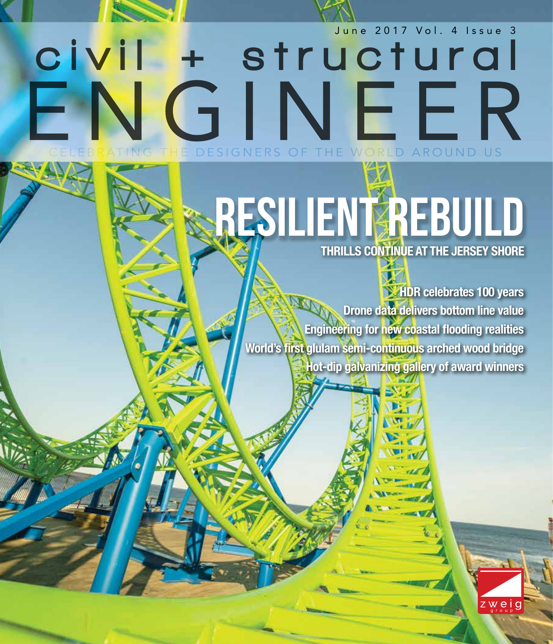

# CIVII + Structural GINEER THE DESIGNERS OF THE WORLD AROUND US

## RESILIENT REBUILD **THRILLS CONTINUE AT THE JERSEY SHORE**

**HDR celebrates 100 years Drone data delivers bottom line value Engineering for new coastal flooding realities World's first glulam semi-continuous arched wood bridge Hot-dip galvanizing gallery of award winners**

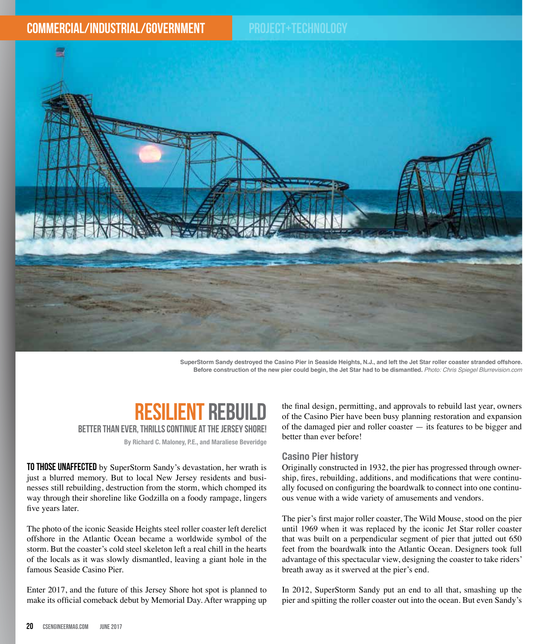

**SuperStorm Sandy destroyed the Casino Pier in Seaside Heights, N.J., and left the Jet Star roller coaster stranded offshore. Before construction of the new pier could begin, the Jet Star had to be dismantled.** *Photo: Chris Spiegel Blurrevision.com* 

### RESILIENT REBI

Better than ever, thrills continue at the Jersey Shore!

**By Richard C. Maloney, P.E., and Maraliese Beveridge**

TO THOSE UNAFFECTED by SuperStorm Sandy's devastation, her wrath is just a blurred memory. But to local New Jersey residents and businesses still rebuilding, destruction from the storm, which chomped its way through their shoreline like Godzilla on a foody rampage, lingers five years later.

The photo of the iconic Seaside Heights steel roller coaster left derelict offshore in the Atlantic Ocean became a worldwide symbol of the storm. But the coaster's cold steel skeleton left a real chill in the hearts of the locals as it was slowly dismantled, leaving a giant hole in the famous Seaside Casino Pier.

Enter 2017, and the future of this Jersey Shore hot spot is planned to make its official comeback debut by Memorial Day. After wrapping up the final design, permitting, and approvals to rebuild last year, owners of the Casino Pier have been busy planning restoration and expansion of the damaged pier and roller coaster — its features to be bigger and better than ever before!

#### **Casino Pier history**

Originally constructed in 1932, the pier has progressed through ownership, fires, rebuilding, additions, and modifications that were continually focused on configuring the boardwalk to connect into one continuous venue with a wide variety of amusements and vendors.

The pier's first major roller coaster, The Wild Mouse, stood on the pier until 1969 when it was replaced by the iconic Jet Star roller coaster that was built on a perpendicular segment of pier that jutted out 650 feet from the boardwalk into the Atlantic Ocean. Designers took full advantage of this spectacular view, designing the coaster to take riders' breath away as it swerved at the pier's end.

In 2012, SuperStorm Sandy put an end to all that, smashing up the pier and spitting the roller coaster out into the ocean. But even Sandy's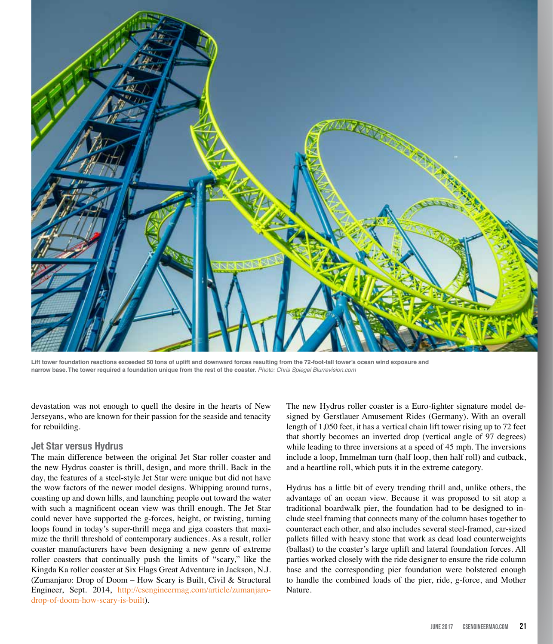

**Lift tower foundation reactions exceeded 50 tons of uplift and downward forces resulting from the 72-foot-tall tower's ocean wind exposure and narrow base. The tower required a foundation unique from the rest of the coaster.** *Photo: Chris Spiegel Blurrevision.com* 

devastation was not enough to quell the desire in the hearts of New Jerseyans, who are known for their passion for the seaside and tenacity for rebuilding.

#### **Jet Star versus Hydrus**

The main difference between the original Jet Star roller coaster and the new Hydrus coaster is thrill, design, and more thrill. Back in the day, the features of a steel-style Jet Star were unique but did not have the wow factors of the newer model designs. Whipping around turns, coasting up and down hills, and launching people out toward the water with such a magnificent ocean view was thrill enough. The Jet Star could never have supported the g-forces, height, or twisting, turning loops found in today's super-thrill mega and giga coasters that maximize the thrill threshold of contemporary audiences. As a result, roller coaster manufacturers have been designing a new genre of extreme roller coasters that continually push the limits of "scary," like the Kingda Ka roller coaster at Six Flags Great Adventure in Jackson, N.J. (Zumanjaro: Drop of Doom – How Scary is Built, Civil & Structural Engineer, Sept. 2014, http://csengineermag.com/article/zumanjarodrop-of-doom-how-scary-is-built).

The new Hydrus roller coaster is a Euro-fighter signature model designed by Gerstlauer Amusement Rides (Germany). With an overall length of 1,050 feet, it has a vertical chain lift tower rising up to 72 feet that shortly becomes an inverted drop (vertical angle of 97 degrees) while leading to three inversions at a speed of 45 mph. The inversions include a loop, Immelman turn (half loop, then half roll) and cutback, and a heartline roll, which puts it in the extreme category.

Hydrus has a little bit of every trending thrill and, unlike others, the advantage of an ocean view. Because it was proposed to sit atop a traditional boardwalk pier, the foundation had to be designed to include steel framing that connects many of the column bases together to counteract each other, and also includes several steel-framed, car-sized pallets filled with heavy stone that work as dead load counterweights (ballast) to the coaster's large uplift and lateral foundation forces. All parties worked closely with the ride designer to ensure the ride column base and the corresponding pier foundation were bolstered enough to handle the combined loads of the pier, ride, g-force, and Mother Nature.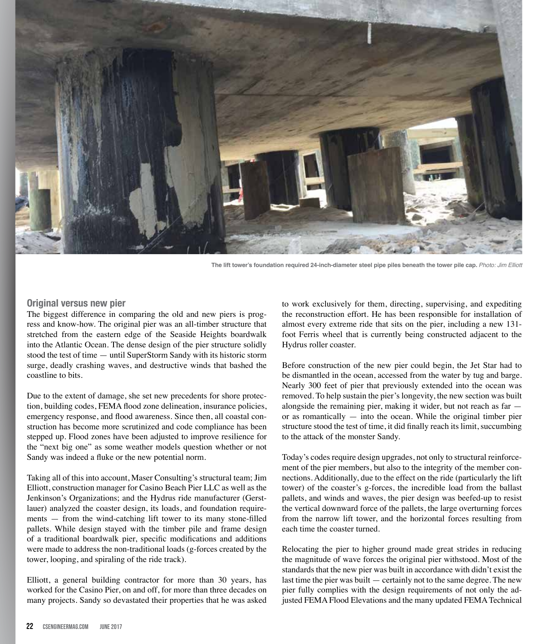

The lift tower's foundation required 24-inch-diameter steel pipe piles beneath the tower pile cap. Photo: Jim Elliott

#### **Original versus new pier**

The biggest difference in comparing the old and new piers is progress and know-how. The original pier was an all-timber structure that stretched from the eastern edge of the Seaside Heights boardwalk into the Atlantic Ocean. The dense design of the pier structure solidly stood the test of time — until SuperStorm Sandy with its historic storm surge, deadly crashing waves, and destructive winds that bashed the coastline to bits.

Due to the extent of damage, she set new precedents for shore protection, building codes, FEMA flood zone delineation, insurance policies, emergency response, and flood awareness. Since then, all coastal construction has become more scrutinized and code compliance has been stepped up. Flood zones have been adjusted to improve resilience for the "next big one" as some weather models question whether or not Sandy was indeed a fluke or the new potential norm.

Taking all of this into account, Maser Consulting's structural team; Jim Elliott, construction manager for Casino Beach Pier LLC as well as the Jenkinson's Organizations; and the Hydrus ride manufacturer (Gerstlauer) analyzed the coaster design, its loads, and foundation requirements — from the wind-catching lift tower to its many stone-filled pallets. While design stayed with the timber pile and frame design of a traditional boardwalk pier, specific modifications and additions were made to address the non-traditional loads (g-forces created by the tower, looping, and spiraling of the ride track).

Elliott, a general building contractor for more than 30 years, has worked for the Casino Pier, on and off, for more than three decades on many projects. Sandy so devastated their properties that he was asked to work exclusively for them, directing, supervising, and expediting the reconstruction effort. He has been responsible for installation of almost every extreme ride that sits on the pier, including a new 131 foot Ferris wheel that is currently being constructed adjacent to the Hydrus roller coaster.

Before construction of the new pier could begin, the Jet Star had to be dismantled in the ocean, accessed from the water by tug and barge. Nearly 300 feet of pier that previously extended into the ocean was removed. To help sustain the pier's longevity, the new section was built alongside the remaining pier, making it wider, but not reach as far or as romantically — into the ocean. While the original timber pier structure stood the test of time, it did finally reach its limit, succumbing to the attack of the monster Sandy.

Today's codes require design upgrades, not only to structural reinforcement of the pier members, but also to the integrity of the member connections. Additionally, due to the effect on the ride (particularly the lift tower) of the coaster's g-forces, the incredible load from the ballast pallets, and winds and waves, the pier design was beefed-up to resist the vertical downward force of the pallets, the large overturning forces from the narrow lift tower, and the horizontal forces resulting from each time the coaster turned.

Relocating the pier to higher ground made great strides in reducing the magnitude of wave forces the original pier withstood. Most of the standards that the new pier was built in accordance with didn't exist the last time the pier was built — certainly not to the same degree. The new pier fully complies with the design requirements of not only the adjusted FEMA Flood Elevations and the many updated FEMA Technical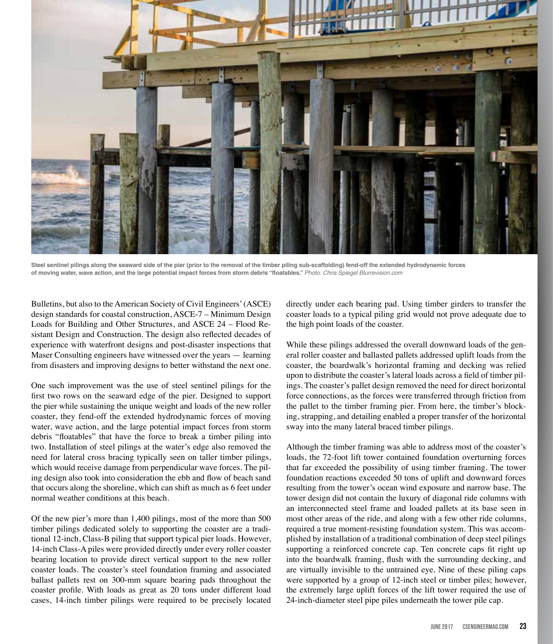

**Steel sentinel pilings along the seaward side of the pier (prior to the removal of the timber piling sub-scaffolding) fend-off the extended hydrodynamic forces of moving water, wave action, and the large potential impact forces from storm debris "floatables."** *Photo: Chris Spiegel Blurrevision.com* 

Bulletins, but also to the American Society of Civil Engineers' (ASCE) design standards for coastal construction, ASCE-7 – Minimum Design Loads for Building and Other Structures, and ASCE 24 – Flood Resistant Design and Construction. The design also reflected decades of experience with waterfront designs and post-disaster inspections that Maser Consulting engineers have witnessed over the years — learning from disasters and improving designs to better withstand the next one.

One such improvement was the use of steel sentinel pilings for the first two rows on the seaward edge of the pier. Designed to support the pier while sustaining the unique weight and loads of the new roller coaster, they fend-off the extended hydrodynamic forces of moving water, wave action, and the large potential impact forces from storm debris "floatables" that have the force to break a timber piling into two. Installation of steel pilings at the water's edge also removed the need for lateral cross bracing typically seen on taller timber pilings, which would receive damage from perpendicular wave forces. The piling design also took into consideration the ebb and flow of beach sand that occurs along the shoreline, which can shift as much as 6 feet under normal weather conditions at this beach.

Of the new pier's more than 1,400 pilings, most of the more than 500 timber pilings dedicated solely to supporting the coaster are a traditional 12-inch, Class-B piling that support typical pier loads. However, 14-inch Class-A piles were provided directly under every roller coaster bearing location to provide direct vertical support to the new roller coaster loads. The coaster's steel foundation framing and associated ballast pallets rest on 300-mm square bearing pads throughout the coaster profile. With loads as great as 20 tons under different load cases, 14-inch timber pilings were required to be precisely located

directly under each bearing pad. Using timber girders to transfer the coaster loads to a typical piling grid would not prove adequate due to the high point loads of the coaster.

While these pilings addressed the overall downward loads of the general roller coaster and ballasted pallets addressed uplift loads from the coaster, the boardwalk's horizontal framing and decking was relied upon to distribute the coaster's lateral loads across a field of timber pilings. The coaster's pallet design removed the need for direct horizontal force connections, as the forces were transferred through friction from the pallet to the timber framing pier. From here, the timber's blocking, strapping, and detailing enabled a proper transfer of the horizontal sway into the many lateral braced timber pilings.

Although the timber framing was able to address most of the coaster's loads, the 72-foot lift tower contained foundation overturning forces that far exceeded the possibility of using timber framing. The tower foundation reactions exceeded 50 tons of uplift and downward forces resulting from the tower's ocean wind exposure and narrow base. The tower design did not contain the luxury of diagonal ride columns with an interconnected steel frame and loaded pallets at its base seen in most other areas of the ride, and along with a few other ride columns, required a true moment-resisting foundation system. This was accomplished by installation of a traditional combination of deep steel pilings supporting a reinforced concrete cap. Ten concrete caps fit right up into the boardwalk framing, flush with the surrounding decking, and are virtually invisible to the untrained eye. Nine of these piling caps were supported by a group of 12-inch steel or timber piles; however, the extremely large uplift forces of the lift tower required the use of 24-inch-diameter steel pipe piles underneath the tower pile cap.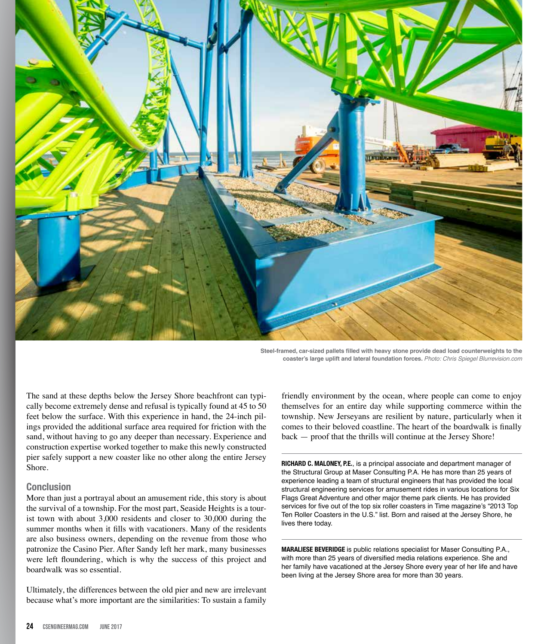

**Steel-framed, car-sized pallets filled with heavy stone provide dead load counterweights to the coaster's large uplift and lateral foundation forces.** *Photo: Chris Spiegel Blurrevision.com* 

The sand at these depths below the Jersey Shore beachfront can typically become extremely dense and refusal is typically found at 45 to 50 feet below the surface. With this experience in hand, the 24-inch pilings provided the additional surface area required for friction with the sand, without having to go any deeper than necessary. Experience and construction expertise worked together to make this newly constructed pier safely support a new coaster like no other along the entire Jersey Shore.

#### **Conclusion**

More than just a portrayal about an amusement ride, this story is about the survival of a township. For the most part, Seaside Heights is a tourist town with about 3,000 residents and closer to 30,000 during the summer months when it fills with vacationers. Many of the residents are also business owners, depending on the revenue from those who patronize the Casino Pier. After Sandy left her mark, many businesses were left floundering, which is why the success of this project and boardwalk was so essential.

Ultimately, the differences between the old pier and new are irrelevant because what's more important are the similarities: To sustain a family

friendly environment by the ocean, where people can come to enjoy themselves for an entire day while supporting commerce within the township. New Jerseyans are resilient by nature, particularly when it comes to their beloved coastline. The heart of the boardwalk is finally back — proof that the thrills will continue at the Jersey Shore!

**RICHARD C. MALONEY, P.E.**, is a principal associate and department manager of the Structural Group at Maser Consulting P.A. He has more than 25 years of experience leading a team of structural engineers that has provided the local structural engineering services for amusement rides in various locations for Six Flags Great Adventure and other major theme park clients. He has provided services for five out of the top six roller coasters in Time magazine's "2013 Top Ten Roller Coasters in the U.S." list. Born and raised at the Jersey Shore, he lives there today.

**MARALIESE BEVERIDGE** is public relations specialist for Maser Consulting P.A., with more than 25 years of diversified media relations experience. She and her family have vacationed at the Jersey Shore every year of her life and have been living at the Jersey Shore area for more than 30 years.